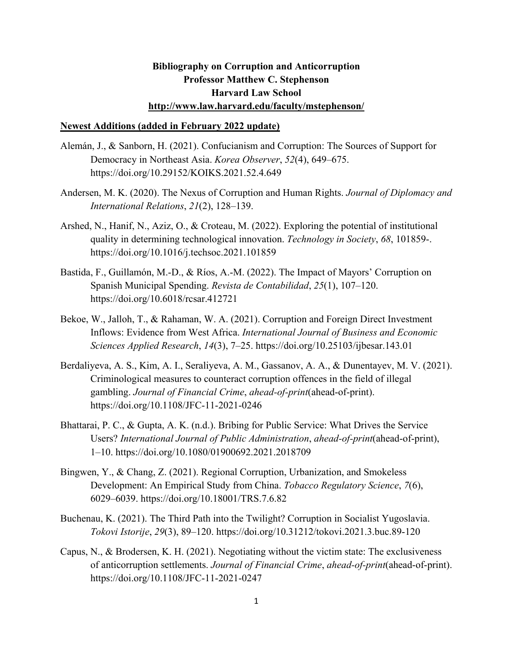## **Bibliography on Corruption and Anticorruption Professor Matthew C. Stephenson Harvard Law School http://www.law.harvard.edu/faculty/mstephenson/**

## **Newest Additions (added in February 2022 update)**

- Alemán, J., & Sanborn, H. (2021). Confucianism and Corruption: The Sources of Support for Democracy in Northeast Asia. *Korea Observer*, *52*(4), 649–675. https://doi.org/10.29152/KOIKS.2021.52.4.649
- Andersen, M. K. (2020). The Nexus of Corruption and Human Rights. *Journal of Diplomacy and International Relations*, *21*(2), 128–139.
- Arshed, N., Hanif, N., Aziz, O., & Croteau, M. (2022). Exploring the potential of institutional quality in determining technological innovation. *Technology in Society*, *68*, 101859-. https://doi.org/10.1016/j.techsoc.2021.101859
- Bastida, F., Guillamón, M.-D., & Ríos, A.-M. (2022). The Impact of Mayors' Corruption on Spanish Municipal Spending. *Revista de Contabilidad*, *25*(1), 107–120. https://doi.org/10.6018/rcsar.412721
- Bekoe, W., Jalloh, T., & Rahaman, W. A. (2021). Corruption and Foreign Direct Investment Inflows: Evidence from West Africa. *International Journal of Business and Economic Sciences Applied Research*, *14*(3), 7–25. https://doi.org/10.25103/ijbesar.143.01
- Berdaliyeva, A. S., Kim, A. I., Seraliyeva, A. M., Gassanov, A. A., & Dunentayev, M. V. (2021). Criminological measures to counteract corruption offences in the field of illegal gambling. *Journal of Financial Crime*, *ahead-of-print*(ahead-of-print). https://doi.org/10.1108/JFC-11-2021-0246
- Bhattarai, P. C., & Gupta, A. K. (n.d.). Bribing for Public Service: What Drives the Service Users? *International Journal of Public Administration*, *ahead-of-print*(ahead-of-print), 1–10. https://doi.org/10.1080/01900692.2021.2018709
- Bingwen, Y., & Chang, Z. (2021). Regional Corruption, Urbanization, and Smokeless Development: An Empirical Study from China. *Tobacco Regulatory Science*, *7*(6), 6029–6039. https://doi.org/10.18001/TRS.7.6.82
- Buchenau, K. (2021). The Third Path into the Twilight? Corruption in Socialist Yugoslavia. *Tokovi Istorije*, *29*(3), 89–120. https://doi.org/10.31212/tokovi.2021.3.buc.89-120
- Capus, N., & Brodersen, K. H. (2021). Negotiating without the victim state: The exclusiveness of anticorruption settlements. *Journal of Financial Crime*, *ahead-of-print*(ahead-of-print). https://doi.org/10.1108/JFC-11-2021-0247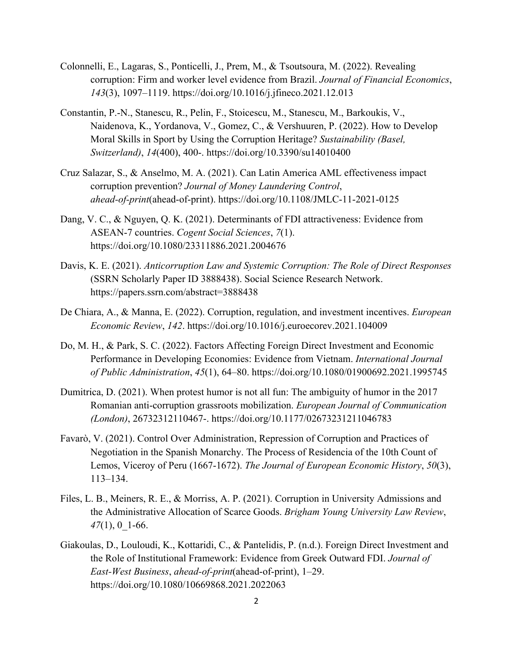- Colonnelli, E., Lagaras, S., Ponticelli, J., Prem, M., & Tsoutsoura, M. (2022). Revealing corruption: Firm and worker level evidence from Brazil. *Journal of Financial Economics*, *143*(3), 1097–1119. https://doi.org/10.1016/j.jfineco.2021.12.013
- Constantin, P.-N., Stanescu, R., Pelin, F., Stoicescu, M., Stanescu, M., Barkoukis, V., Naidenova, K., Yordanova, V., Gomez, C., & Vershuuren, P. (2022). How to Develop Moral Skills in Sport by Using the Corruption Heritage? *Sustainability (Basel, Switzerland)*, *14*(400), 400-. https://doi.org/10.3390/su14010400
- Cruz Salazar, S., & Anselmo, M. A. (2021). Can Latin America AML effectiveness impact corruption prevention? *Journal of Money Laundering Control*, *ahead-of-print*(ahead-of-print). https://doi.org/10.1108/JMLC-11-2021-0125
- Dang, V. C., & Nguyen, Q. K. (2021). Determinants of FDI attractiveness: Evidence from ASEAN-7 countries. *Cogent Social Sciences*, *7*(1). https://doi.org/10.1080/23311886.2021.2004676
- Davis, K. E. (2021). *Anticorruption Law and Systemic Corruption: The Role of Direct Responses* (SSRN Scholarly Paper ID 3888438). Social Science Research Network. https://papers.ssrn.com/abstract=3888438
- De Chiara, A., & Manna, E. (2022). Corruption, regulation, and investment incentives. *European Economic Review*, *142*. https://doi.org/10.1016/j.euroecorev.2021.104009
- Do, M. H., & Park, S. C. (2022). Factors Affecting Foreign Direct Investment and Economic Performance in Developing Economies: Evidence from Vietnam. *International Journal of Public Administration*, *45*(1), 64–80. https://doi.org/10.1080/01900692.2021.1995745
- Dumitrica, D. (2021). When protest humor is not all fun: The ambiguity of humor in the 2017 Romanian anti-corruption grassroots mobilization. *European Journal of Communication (London)*, 26732312110467-. https://doi.org/10.1177/02673231211046783
- Favarò, V. (2021). Control Over Administration, Repression of Corruption and Practices of Negotiation in the Spanish Monarchy. The Process of Residencia of the 10th Count of Lemos, Viceroy of Peru (1667-1672). *The Journal of European Economic History*, *50*(3), 113–134.
- Files, L. B., Meiners, R. E., & Morriss, A. P. (2021). Corruption in University Admissions and the Administrative Allocation of Scarce Goods. *Brigham Young University Law Review*, *47*(1), 0\_1-66.
- Giakoulas, D., Louloudi, K., Kottaridi, C., & Pantelidis, P. (n.d.). Foreign Direct Investment and the Role of Institutional Framework: Evidence from Greek Outward FDI. *Journal of East-West Business*, *ahead-of-print*(ahead-of-print), 1–29. https://doi.org/10.1080/10669868.2021.2022063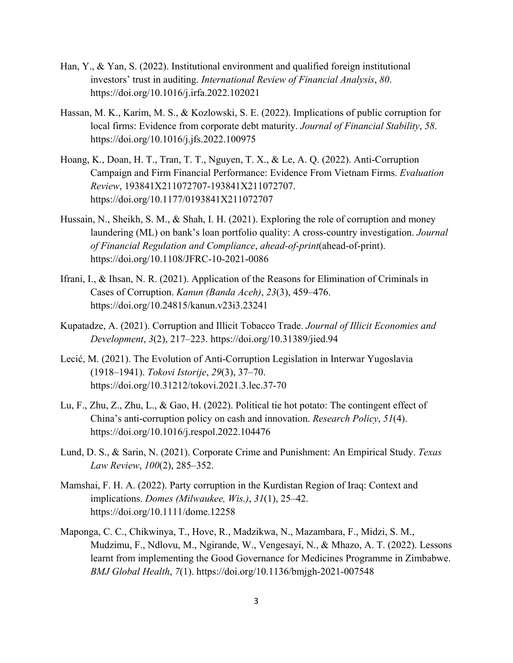- Han, Y., & Yan, S. (2022). Institutional environment and qualified foreign institutional investors' trust in auditing. *International Review of Financial Analysis*, *80*. https://doi.org/10.1016/j.irfa.2022.102021
- Hassan, M. K., Karim, M. S., & Kozlowski, S. E. (2022). Implications of public corruption for local firms: Evidence from corporate debt maturity. *Journal of Financial Stability*, *58*. https://doi.org/10.1016/j.jfs.2022.100975
- Hoang, K., Doan, H. T., Tran, T. T., Nguyen, T. X., & Le, A. Q. (2022). Anti-Corruption Campaign and Firm Financial Performance: Evidence From Vietnam Firms. *Evaluation Review*, 193841X211072707-193841X211072707. https://doi.org/10.1177/0193841X211072707
- Hussain, N., Sheikh, S. M., & Shah, I. H. (2021). Exploring the role of corruption and money laundering (ML) on bank's loan portfolio quality: A cross-country investigation. *Journal of Financial Regulation and Compliance*, *ahead-of-print*(ahead-of-print). https://doi.org/10.1108/JFRC-10-2021-0086
- Ifrani, I., & Ihsan, N. R. (2021). Application of the Reasons for Elimination of Criminals in Cases of Corruption. *Kanun (Banda Aceh)*, *23*(3), 459–476. https://doi.org/10.24815/kanun.v23i3.23241
- Kupatadze, A. (2021). Corruption and Illicit Tobacco Trade. *Journal of Illicit Economies and Development*, *3*(2), 217–223. https://doi.org/10.31389/jied.94
- Lecić, M. (2021). The Evolution of Anti-Corruption Legislation in Interwar Yugoslavia (1918–1941). *Tokovi Istorije*, *29*(3), 37–70. https://doi.org/10.31212/tokovi.2021.3.lec.37-70
- Lu, F., Zhu, Z., Zhu, L., & Gao, H. (2022). Political tie hot potato: The contingent effect of China's anti-corruption policy on cash and innovation. *Research Policy*, *51*(4). https://doi.org/10.1016/j.respol.2022.104476
- Lund, D. S., & Sarin, N. (2021). Corporate Crime and Punishment: An Empirical Study. *Texas Law Review*, *100*(2), 285–352.
- Mamshai, F. H. A. (2022). Party corruption in the Kurdistan Region of Iraq: Context and implications. *Domes (Milwaukee, Wis.)*, *31*(1), 25–42. https://doi.org/10.1111/dome.12258
- Maponga, C. C., Chikwinya, T., Hove, R., Madzikwa, N., Mazambara, F., Midzi, S. M., Mudzimu, F., Ndlovu, M., Ngirande, W., Vengesayi, N., & Mhazo, A. T. (2022). Lessons learnt from implementing the Good Governance for Medicines Programme in Zimbabwe. *BMJ Global Health*, *7*(1). https://doi.org/10.1136/bmjgh-2021-007548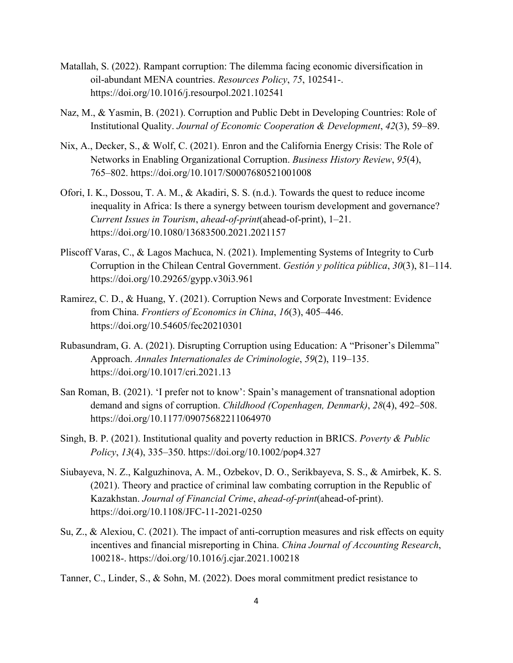- Matallah, S. (2022). Rampant corruption: The dilemma facing economic diversification in oil-abundant MENA countries. *Resources Policy*, *75*, 102541-. https://doi.org/10.1016/j.resourpol.2021.102541
- Naz, M., & Yasmin, B. (2021). Corruption and Public Debt in Developing Countries: Role of Institutional Quality. *Journal of Economic Cooperation & Development*, *42*(3), 59–89.
- Nix, A., Decker, S., & Wolf, C. (2021). Enron and the California Energy Crisis: The Role of Networks in Enabling Organizational Corruption. *Business History Review*, *95*(4), 765–802. https://doi.org/10.1017/S0007680521001008
- Ofori, I. K., Dossou, T. A. M., & Akadiri, S. S. (n.d.). Towards the quest to reduce income inequality in Africa: Is there a synergy between tourism development and governance? *Current Issues in Tourism*, *ahead-of-print*(ahead-of-print), 1–21. https://doi.org/10.1080/13683500.2021.2021157
- Pliscoff Varas, C., & Lagos Machuca, N. (2021). Implementing Systems of Integrity to Curb Corruption in the Chilean Central Government. *Gestión y política pública*, *30*(3), 81–114. https://doi.org/10.29265/gypp.v30i3.961
- Ramirez, C. D., & Huang, Y. (2021). Corruption News and Corporate Investment: Evidence from China. *Frontiers of Economics in China*, *16*(3), 405–446. https://doi.org/10.54605/fec20210301
- Rubasundram, G. A. (2021). Disrupting Corruption using Education: A "Prisoner's Dilemma" Approach. *Annales Internationales de Criminologie*, *59*(2), 119–135. https://doi.org/10.1017/cri.2021.13
- San Roman, B. (2021). 'I prefer not to know': Spain's management of transnational adoption demand and signs of corruption. *Childhood (Copenhagen, Denmark)*, *28*(4), 492–508. https://doi.org/10.1177/09075682211064970
- Singh, B. P. (2021). Institutional quality and poverty reduction in BRICS. *Poverty & Public Policy*, *13*(4), 335–350. https://doi.org/10.1002/pop4.327
- Siubayeva, N. Z., Kalguzhinova, A. M., Ozbekov, D. O., Serikbayeva, S. S., & Amirbek, K. S. (2021). Theory and practice of criminal law combating corruption in the Republic of Kazakhstan. *Journal of Financial Crime*, *ahead-of-print*(ahead-of-print). https://doi.org/10.1108/JFC-11-2021-0250
- Su, Z., & Alexiou, C. (2021). The impact of anti-corruption measures and risk effects on equity incentives and financial misreporting in China. *China Journal of Accounting Research*, 100218-. https://doi.org/10.1016/j.cjar.2021.100218
- Tanner, C., Linder, S., & Sohn, M. (2022). Does moral commitment predict resistance to